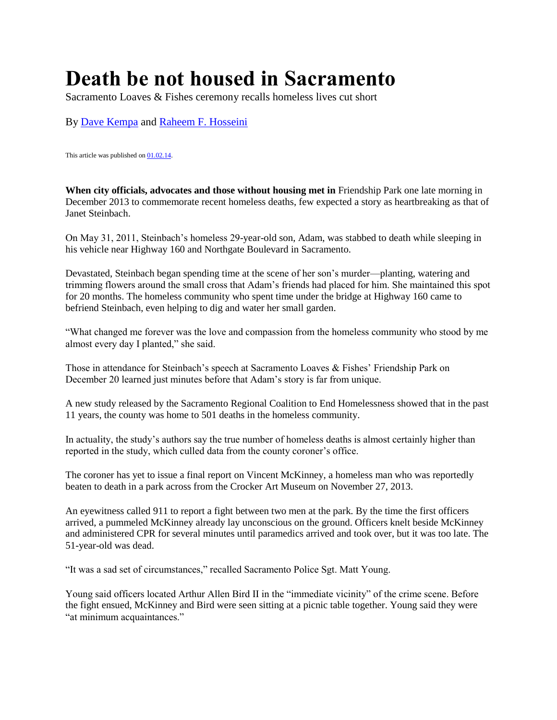## **Death be not housed in Sacramento**

Sacramento Loaves & Fishes ceremony recalls homeless lives cut short

By [Dave Kempa](http://www.newsreview.com/sacramento/dave-kempa/author) and [Raheem F. Hosseini](http://www.newsreview.com/sacramento/raheem-f-hosseini/author)

This article was published on  $01.02.14$ .

**When city officials, advocates and those without housing met in** Friendship Park one late morning in December 2013 to commemorate recent homeless deaths, few expected a story as heartbreaking as that of Janet Steinbach.

On May 31, 2011, Steinbach's homeless 29-year-old son, Adam, was stabbed to death while sleeping in his vehicle near Highway 160 and Northgate Boulevard in Sacramento.

Devastated, Steinbach began spending time at the scene of her son's murder—planting, watering and trimming flowers around the small cross that Adam's friends had placed for him. She maintained this spot for 20 months. The homeless community who spent time under the bridge at Highway 160 came to befriend Steinbach, even helping to dig and water her small garden.

"What changed me forever was the love and compassion from the homeless community who stood by me almost every day I planted," she said.

Those in attendance for Steinbach's speech at Sacramento Loaves & Fishes' Friendship Park on December 20 learned just minutes before that Adam's story is far from unique.

A new study released by the Sacramento Regional Coalition to End Homelessness showed that in the past 11 years, the county was home to 501 deaths in the homeless community.

In actuality, the study's authors say the true number of homeless deaths is almost certainly higher than reported in the study, which culled data from the county coroner's office.

The coroner has yet to issue a final report on Vincent McKinney, a homeless man who was reportedly beaten to death in a park across from the Crocker Art Museum on November 27, 2013.

An eyewitness called 911 to report a fight between two men at the park. By the time the first officers arrived, a pummeled McKinney already lay unconscious on the ground. Officers knelt beside McKinney and administered CPR for several minutes until paramedics arrived and took over, but it was too late. The 51-year-old was dead.

"It was a sad set of circumstances," recalled Sacramento Police Sgt. Matt Young.

Young said officers located Arthur Allen Bird II in the "immediate vicinity" of the crime scene. Before the fight ensued, McKinney and Bird were seen sitting at a picnic table together. Young said they were "at minimum acquaintances."